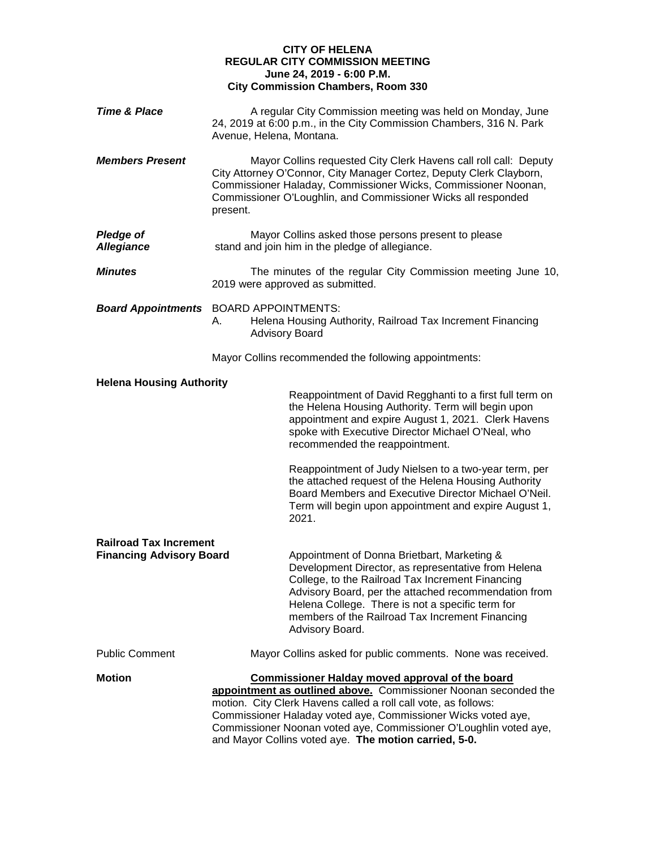## **CITY OF HELENA REGULAR CITY COMMISSION MEETING June 24, 2019 - 6:00 P.M. City Commission Chambers, Room 330**

| <b>Time &amp; Place</b>               | A regular City Commission meeting was held on Monday, June<br>24, 2019 at 6:00 p.m., in the City Commission Chambers, 316 N. Park<br>Avenue, Helena, Montana.                                                                                                                                                                                                                              |
|---------------------------------------|--------------------------------------------------------------------------------------------------------------------------------------------------------------------------------------------------------------------------------------------------------------------------------------------------------------------------------------------------------------------------------------------|
| <b>Members Present</b>                | Mayor Collins requested City Clerk Havens call roll call: Deputy<br>City Attorney O'Connor, City Manager Cortez, Deputy Clerk Clayborn,<br>Commissioner Haladay, Commissioner Wicks, Commissioner Noonan,<br>Commissioner O'Loughlin, and Commissioner Wicks all responded<br>present.                                                                                                     |
| <b>Pledge of</b><br><b>Allegiance</b> | Mayor Collins asked those persons present to please<br>stand and join him in the pledge of allegiance.                                                                                                                                                                                                                                                                                     |
| <b>Minutes</b>                        | The minutes of the regular City Commission meeting June 10,<br>2019 were approved as submitted.                                                                                                                                                                                                                                                                                            |
| <b>Board Appointments</b>             | <b>BOARD APPOINTMENTS:</b><br>Helena Housing Authority, Railroad Tax Increment Financing<br>А.<br><b>Advisory Board</b>                                                                                                                                                                                                                                                                    |
|                                       | Mayor Collins recommended the following appointments:                                                                                                                                                                                                                                                                                                                                      |
| <b>Helena Housing Authority</b>       | Reappointment of David Regghanti to a first full term on<br>the Helena Housing Authority. Term will begin upon<br>appointment and expire August 1, 2021. Clerk Havens<br>spoke with Executive Director Michael O'Neal, who<br>recommended the reappointment.<br>Reappointment of Judy Nielsen to a two-year term, per<br>the attached request of the Helena Housing Authority              |
|                                       | Board Members and Executive Director Michael O'Neil.<br>Term will begin upon appointment and expire August 1,<br>2021.                                                                                                                                                                                                                                                                     |
| <b>Railroad Tax Increment</b>         |                                                                                                                                                                                                                                                                                                                                                                                            |
| <b>Financing Advisory Board</b>       | Appointment of Donna Brietbart, Marketing &<br>Development Director, as representative from Helena<br>College, to the Railroad Tax Increment Financing<br>Advisory Board, per the attached recommendation from<br>Helena College. There is not a specific term for<br>members of the Railroad Tax Increment Financing<br>Advisory Board.                                                   |
| <b>Public Comment</b>                 | Mayor Collins asked for public comments. None was received.                                                                                                                                                                                                                                                                                                                                |
| <b>Motion</b>                         | <b>Commissioner Halday moved approval of the board</b><br>appointment as outlined above. Commissioner Noonan seconded the<br>motion. City Clerk Havens called a roll call vote, as follows:<br>Commissioner Haladay voted aye, Commissioner Wicks voted aye,<br>Commissioner Noonan voted aye, Commissioner O'Loughlin voted aye,<br>and Mayor Collins voted aye. The motion carried, 5-0. |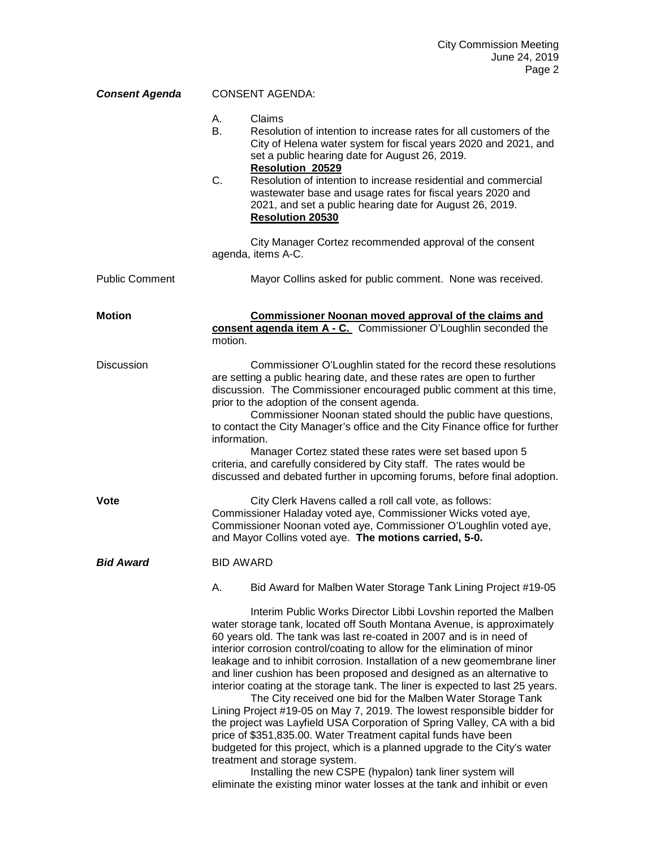| <b>Consent Agenda</b> | <b>CONSENT AGENDA:</b> |                                                                                                                                                                                                                                                                                                                                                                                                                                                                                                                                                                                                                                                                                                                                                                                                                                                                                                                                                                                                                                                                                    |
|-----------------------|------------------------|------------------------------------------------------------------------------------------------------------------------------------------------------------------------------------------------------------------------------------------------------------------------------------------------------------------------------------------------------------------------------------------------------------------------------------------------------------------------------------------------------------------------------------------------------------------------------------------------------------------------------------------------------------------------------------------------------------------------------------------------------------------------------------------------------------------------------------------------------------------------------------------------------------------------------------------------------------------------------------------------------------------------------------------------------------------------------------|
|                       | А.<br>В.<br>C.         | Claims<br>Resolution of intention to increase rates for all customers of the<br>City of Helena water system for fiscal years 2020 and 2021, and<br>set a public hearing date for August 26, 2019.<br><b>Resolution 20529</b><br>Resolution of intention to increase residential and commercial<br>wastewater base and usage rates for fiscal years 2020 and<br>2021, and set a public hearing date for August 26, 2019.<br><b>Resolution 20530</b>                                                                                                                                                                                                                                                                                                                                                                                                                                                                                                                                                                                                                                 |
|                       |                        | City Manager Cortez recommended approval of the consent<br>agenda, items A-C.                                                                                                                                                                                                                                                                                                                                                                                                                                                                                                                                                                                                                                                                                                                                                                                                                                                                                                                                                                                                      |
| <b>Public Comment</b> |                        | Mayor Collins asked for public comment. None was received.                                                                                                                                                                                                                                                                                                                                                                                                                                                                                                                                                                                                                                                                                                                                                                                                                                                                                                                                                                                                                         |
| <b>Motion</b>         | motion.                | Commissioner Noonan moved approval of the claims and<br>consent agenda item A - C. Commissioner O'Loughlin seconded the                                                                                                                                                                                                                                                                                                                                                                                                                                                                                                                                                                                                                                                                                                                                                                                                                                                                                                                                                            |
| <b>Discussion</b>     | information.           | Commissioner O'Loughlin stated for the record these resolutions<br>are setting a public hearing date, and these rates are open to further<br>discussion. The Commissioner encouraged public comment at this time,<br>prior to the adoption of the consent agenda.<br>Commissioner Noonan stated should the public have questions,<br>to contact the City Manager's office and the City Finance office for further<br>Manager Cortez stated these rates were set based upon 5<br>criteria, and carefully considered by City staff. The rates would be<br>discussed and debated further in upcoming forums, before final adoption.                                                                                                                                                                                                                                                                                                                                                                                                                                                   |
| <b>Vote</b>           |                        | City Clerk Havens called a roll call vote, as follows:<br>Commissioner Haladay voted aye, Commissioner Wicks voted aye,<br>Commissioner Noonan voted aye, Commissioner O'Loughlin voted aye,<br>and Mayor Collins voted aye. The motions carried, 5-0.                                                                                                                                                                                                                                                                                                                                                                                                                                                                                                                                                                                                                                                                                                                                                                                                                             |
| <b>Bid Award</b>      | <b>BID AWARD</b>       |                                                                                                                                                                                                                                                                                                                                                                                                                                                                                                                                                                                                                                                                                                                                                                                                                                                                                                                                                                                                                                                                                    |
|                       | А.                     | Bid Award for Malben Water Storage Tank Lining Project #19-05                                                                                                                                                                                                                                                                                                                                                                                                                                                                                                                                                                                                                                                                                                                                                                                                                                                                                                                                                                                                                      |
|                       |                        | Interim Public Works Director Libbi Lovshin reported the Malben<br>water storage tank, located off South Montana Avenue, is approximately<br>60 years old. The tank was last re-coated in 2007 and is in need of<br>interior corrosion control/coating to allow for the elimination of minor<br>leakage and to inhibit corrosion. Installation of a new geomembrane liner<br>and liner cushion has been proposed and designed as an alternative to<br>interior coating at the storage tank. The liner is expected to last 25 years.<br>The City received one bid for the Malben Water Storage Tank<br>Lining Project #19-05 on May 7, 2019. The lowest responsible bidder for<br>the project was Layfield USA Corporation of Spring Valley, CA with a bid<br>price of \$351,835.00. Water Treatment capital funds have been<br>budgeted for this project, which is a planned upgrade to the City's water<br>treatment and storage system.<br>Installing the new CSPE (hypalon) tank liner system will<br>eliminate the existing minor water losses at the tank and inhibit or even |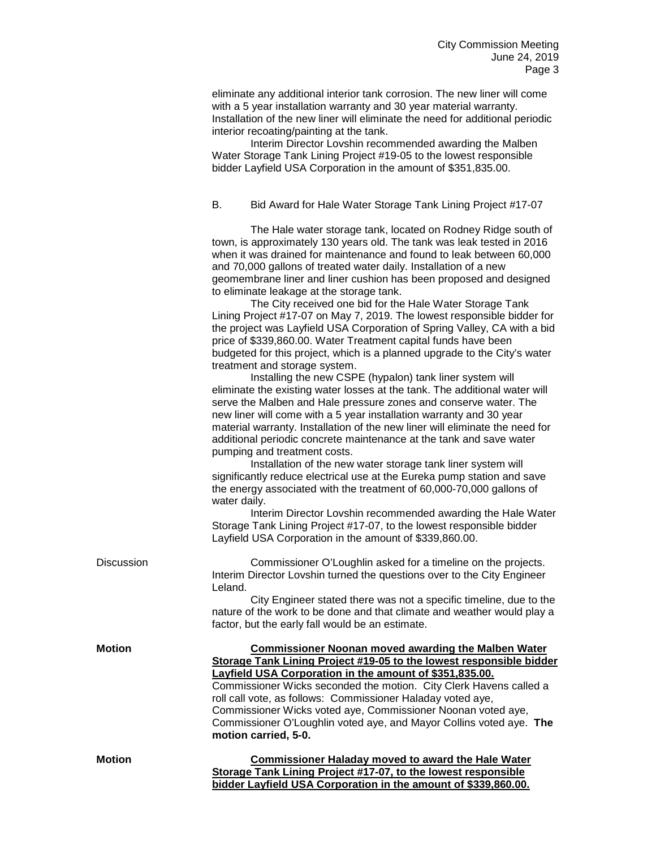eliminate any additional interior tank corrosion. The new liner will come with a 5 year installation warranty and 30 year material warranty. Installation of the new liner will eliminate the need for additional periodic interior recoating/painting at the tank.

Interim Director Lovshin recommended awarding the Malben Water Storage Tank Lining Project #19-05 to the lowest responsible bidder Layfield USA Corporation in the amount of \$351,835.00.

#### B. Bid Award for Hale Water Storage Tank Lining Project #17-07

The Hale water storage tank, located on Rodney Ridge south of town, is approximately 130 years old. The tank was leak tested in 2016 when it was drained for maintenance and found to leak between 60,000 and 70,000 gallons of treated water daily. Installation of a new geomembrane liner and liner cushion has been proposed and designed to eliminate leakage at the storage tank.

The City received one bid for the Hale Water Storage Tank Lining Project #17-07 on May 7, 2019. The lowest responsible bidder for the project was Layfield USA Corporation of Spring Valley, CA with a bid price of \$339,860.00. Water Treatment capital funds have been budgeted for this project, which is a planned upgrade to the City's water treatment and storage system.

Installing the new CSPE (hypalon) tank liner system will eliminate the existing water losses at the tank. The additional water will serve the Malben and Hale pressure zones and conserve water. The new liner will come with a 5 year installation warranty and 30 year material warranty. Installation of the new liner will eliminate the need for additional periodic concrete maintenance at the tank and save water pumping and treatment costs.

Installation of the new water storage tank liner system will significantly reduce electrical use at the Eureka pump station and save the energy associated with the treatment of 60,000-70,000 gallons of water daily.

Interim Director Lovshin recommended awarding the Hale Water Storage Tank Lining Project #17-07, to the lowest responsible bidder Layfield USA Corporation in the amount of \$339,860.00.

| <b>Discussion</b> | Commissioner O'Loughlin asked for a timeline on the projects.<br>Interim Director Lovshin turned the questions over to the City Engineer<br>Leland.                                               |
|-------------------|---------------------------------------------------------------------------------------------------------------------------------------------------------------------------------------------------|
|                   | City Engineer stated there was not a specific timeline, due to the<br>nature of the work to be done and that climate and weather would play a<br>factor, but the early fall would be an estimate. |
| <b>Motion</b>     | <b>Commissioner Noonan moved awarding the Malben Water</b><br>Storage Tank Lining Project #19-05 to the lowest responsible bidder<br>Layfield USA Corporation in the amount of \$351,835.00.      |
|                   | Commissioner Wicks seconded the motion. City Clerk Havens called a                                                                                                                                |
|                   | roll call vote, as follows: Commissioner Haladay voted aye,                                                                                                                                       |
|                   | Commissioner Wicks voted aye, Commissioner Noonan voted aye,                                                                                                                                      |
|                   | Commissioner O'Loughlin voted aye, and Mayor Collins voted aye. The                                                                                                                               |
|                   | motion carried, 5-0.                                                                                                                                                                              |
| <b>Motion</b>     | <b>Commissioner Haladay moved to award the Hale Water</b>                                                                                                                                         |
|                   | Storage Tank Lining Project #17-07, to the lowest responsible                                                                                                                                     |
|                   | bidder Layfield USA Corporation in the amount of \$339,860.00.                                                                                                                                    |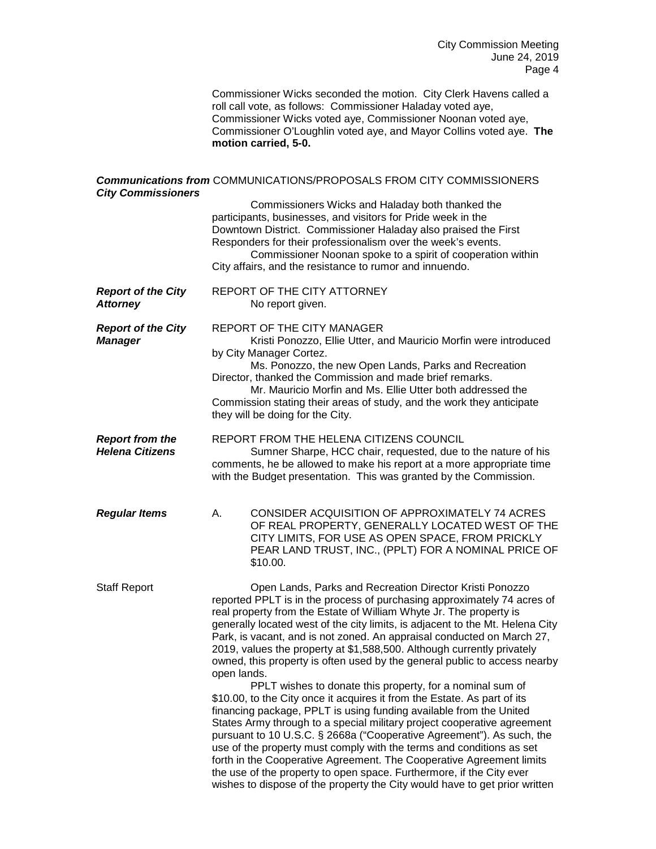City Commission Meeting June 24, 2019 Page 4

Commissioner Wicks seconded the motion. City Clerk Havens called a roll call vote, as follows: Commissioner Haladay voted aye, Commissioner Wicks voted aye, Commissioner Noonan voted aye, Commissioner O'Loughlin voted aye, and Mayor Collins voted aye. **The motion carried, 5-0.**

## *Communications from* COMMUNICATIONS/PROPOSALS FROM CITY COMMISSIONERS *City Commissioners*

|                                                  | Commissioners Wicks and Haladay both thanked the<br>participants, businesses, and visitors for Pride week in the<br>Downtown District. Commissioner Haladay also praised the First<br>Responders for their professionalism over the week's events.<br>Commissioner Noonan spoke to a spirit of cooperation within<br>City affairs, and the resistance to rumor and innuendo.                                                                                                                                                                                                                                                                                                                                                                                                                                                                                                                                                                                                                                                                                                                                                                                                                                        |
|--------------------------------------------------|---------------------------------------------------------------------------------------------------------------------------------------------------------------------------------------------------------------------------------------------------------------------------------------------------------------------------------------------------------------------------------------------------------------------------------------------------------------------------------------------------------------------------------------------------------------------------------------------------------------------------------------------------------------------------------------------------------------------------------------------------------------------------------------------------------------------------------------------------------------------------------------------------------------------------------------------------------------------------------------------------------------------------------------------------------------------------------------------------------------------------------------------------------------------------------------------------------------------|
| <b>Report of the City</b><br><b>Attorney</b>     | REPORT OF THE CITY ATTORNEY<br>No report given.                                                                                                                                                                                                                                                                                                                                                                                                                                                                                                                                                                                                                                                                                                                                                                                                                                                                                                                                                                                                                                                                                                                                                                     |
| <b>Report of the City</b><br><b>Manager</b>      | <b>REPORT OF THE CITY MANAGER</b><br>Kristi Ponozzo, Ellie Utter, and Mauricio Morfin were introduced<br>by City Manager Cortez.<br>Ms. Ponozzo, the new Open Lands, Parks and Recreation<br>Director, thanked the Commission and made brief remarks.<br>Mr. Mauricio Morfin and Ms. Ellie Utter both addressed the<br>Commission stating their areas of study, and the work they anticipate<br>they will be doing for the City.                                                                                                                                                                                                                                                                                                                                                                                                                                                                                                                                                                                                                                                                                                                                                                                    |
| <b>Report from the</b><br><b>Helena Citizens</b> | REPORT FROM THE HELENA CITIZENS COUNCIL<br>Sumner Sharpe, HCC chair, requested, due to the nature of his<br>comments, he be allowed to make his report at a more appropriate time<br>with the Budget presentation. This was granted by the Commission.                                                                                                                                                                                                                                                                                                                                                                                                                                                                                                                                                                                                                                                                                                                                                                                                                                                                                                                                                              |
| <b>Regular Items</b>                             | Α.<br>CONSIDER ACQUISITION OF APPROXIMATELY 74 ACRES<br>OF REAL PROPERTY, GENERALLY LOCATED WEST OF THE<br>CITY LIMITS, FOR USE AS OPEN SPACE, FROM PRICKLY<br>PEAR LAND TRUST, INC., (PPLT) FOR A NOMINAL PRICE OF<br>\$10.00.                                                                                                                                                                                                                                                                                                                                                                                                                                                                                                                                                                                                                                                                                                                                                                                                                                                                                                                                                                                     |
| <b>Staff Report</b>                              | Open Lands, Parks and Recreation Director Kristi Ponozzo<br>reported PPLT is in the process of purchasing approximately 74 acres of<br>real property from the Estate of William Whyte Jr. The property is<br>generally located west of the city limits, is adjacent to the Mt. Helena City<br>Park, is vacant, and is not zoned. An appraisal conducted on March 27,<br>2019, values the property at \$1,588,500. Although currently privately<br>owned, this property is often used by the general public to access nearby<br>open lands.<br>PPLT wishes to donate this property, for a nominal sum of<br>\$10.00, to the City once it acquires it from the Estate. As part of its<br>financing package, PPLT is using funding available from the United<br>States Army through to a special military project cooperative agreement<br>pursuant to 10 U.S.C. § 2668a ("Cooperative Agreement"). As such, the<br>use of the property must comply with the terms and conditions as set<br>forth in the Cooperative Agreement. The Cooperative Agreement limits<br>the use of the property to open space. Furthermore, if the City ever<br>wishes to dispose of the property the City would have to get prior written |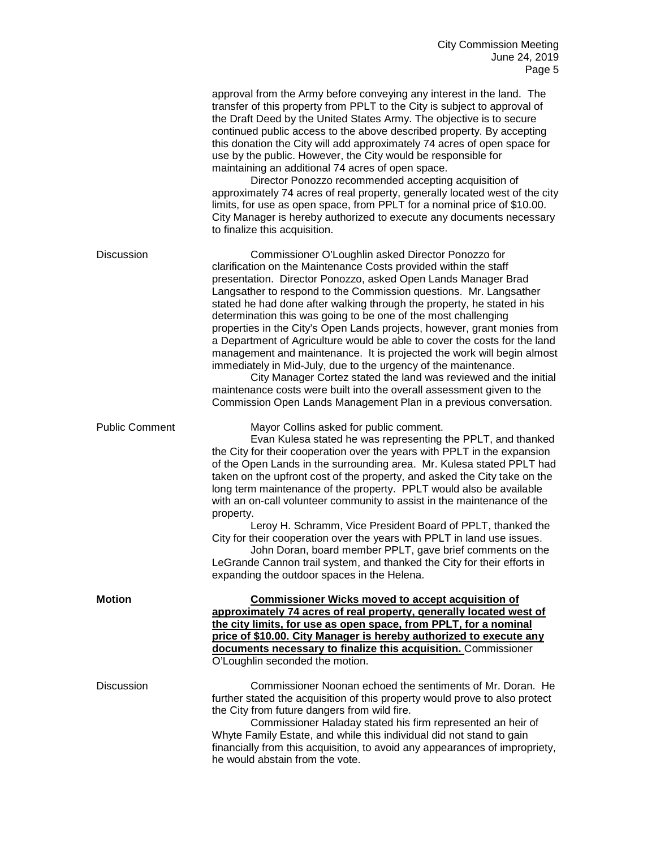|                       | approval from the Army before conveying any interest in the land. The<br>transfer of this property from PPLT to the City is subject to approval of<br>the Draft Deed by the United States Army. The objective is to secure<br>continued public access to the above described property. By accepting<br>this donation the City will add approximately 74 acres of open space for<br>use by the public. However, the City would be responsible for<br>maintaining an additional 74 acres of open space.<br>Director Ponozzo recommended accepting acquisition of<br>approximately 74 acres of real property, generally located west of the city<br>limits, for use as open space, from PPLT for a nominal price of \$10.00.<br>City Manager is hereby authorized to execute any documents necessary<br>to finalize this acquisition.                                                                                                |
|-----------------------|-----------------------------------------------------------------------------------------------------------------------------------------------------------------------------------------------------------------------------------------------------------------------------------------------------------------------------------------------------------------------------------------------------------------------------------------------------------------------------------------------------------------------------------------------------------------------------------------------------------------------------------------------------------------------------------------------------------------------------------------------------------------------------------------------------------------------------------------------------------------------------------------------------------------------------------|
| <b>Discussion</b>     | Commissioner O'Loughlin asked Director Ponozzo for<br>clarification on the Maintenance Costs provided within the staff<br>presentation. Director Ponozzo, asked Open Lands Manager Brad<br>Langsather to respond to the Commission questions. Mr. Langsather<br>stated he had done after walking through the property, he stated in his<br>determination this was going to be one of the most challenging<br>properties in the City's Open Lands projects, however, grant monies from<br>a Department of Agriculture would be able to cover the costs for the land<br>management and maintenance. It is projected the work will begin almost<br>immediately in Mid-July, due to the urgency of the maintenance.<br>City Manager Cortez stated the land was reviewed and the initial<br>maintenance costs were built into the overall assessment given to the<br>Commission Open Lands Management Plan in a previous conversation. |
| <b>Public Comment</b> | Mayor Collins asked for public comment.<br>Evan Kulesa stated he was representing the PPLT, and thanked<br>the City for their cooperation over the years with PPLT in the expansion<br>of the Open Lands in the surrounding area. Mr. Kulesa stated PPLT had<br>taken on the upfront cost of the property, and asked the City take on the<br>long term maintenance of the property. PPLT would also be available<br>with an on-call volunteer community to assist in the maintenance of the<br>property.<br>Leroy H. Schramm, Vice President Board of PPLT, thanked the<br>City for their cooperation over the years with PPLT in land use issues.<br>John Doran, board member PPLT, gave brief comments on the<br>LeGrande Cannon trail system, and thanked the City for their efforts in<br>expanding the outdoor spaces in the Helena.                                                                                         |
| <b>Motion</b>         | <b>Commissioner Wicks moved to accept acquisition of</b><br>approximately 74 acres of real property, generally located west of<br>the city limits, for use as open space, from PPLT, for a nominal<br>price of \$10.00. City Manager is hereby authorized to execute any<br>documents necessary to finalize this acquisition. Commissioner<br>O'Loughlin seconded the motion.                                                                                                                                                                                                                                                                                                                                                                                                                                                                                                                                                     |
| <b>Discussion</b>     | Commissioner Noonan echoed the sentiments of Mr. Doran. He<br>further stated the acquisition of this property would prove to also protect<br>the City from future dangers from wild fire.<br>Commissioner Haladay stated his firm represented an heir of<br>Whyte Family Estate, and while this individual did not stand to gain<br>financially from this acquisition, to avoid any appearances of impropriety,<br>he would abstain from the vote.                                                                                                                                                                                                                                                                                                                                                                                                                                                                                |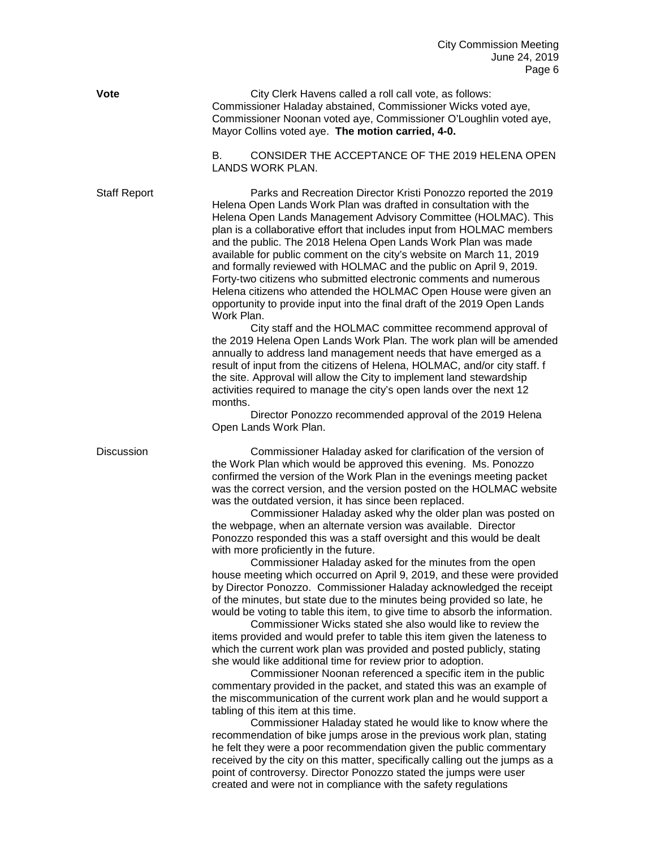**Vote** City Clerk Havens called a roll call vote, as follows: Commissioner Haladay abstained, Commissioner Wicks voted aye, Commissioner Noonan voted aye, Commissioner O'Loughlin voted aye, Mayor Collins voted aye. **The motion carried, 4-0.** 

> B. CONSIDER THE ACCEPTANCE OF THE 2019 HELENA OPEN LANDS WORK PLAN.

Staff Report Parks and Recreation Director Kristi Ponozzo reported the 2019 Helena Open Lands Work Plan was drafted in consultation with the Helena Open Lands Management Advisory Committee (HOLMAC). This plan is a collaborative effort that includes input from HOLMAC members and the public. The 2018 Helena Open Lands Work Plan was made available for public comment on the city's website on March 11, 2019 and formally reviewed with HOLMAC and the public on April 9, 2019. Forty-two citizens who submitted electronic comments and numerous Helena citizens who attended the HOLMAC Open House were given an opportunity to provide input into the final draft of the 2019 Open Lands Work Plan.

City staff and the HOLMAC committee recommend approval of the 2019 Helena Open Lands Work Plan. The work plan will be amended annually to address land management needs that have emerged as a result of input from the citizens of Helena, HOLMAC, and/or city staff. f the site. Approval will allow the City to implement land stewardship activities required to manage the city's open lands over the next 12 months.

Director Ponozzo recommended approval of the 2019 Helena Open Lands Work Plan.

Discussion Commissioner Haladay asked for clarification of the version of the Work Plan which would be approved this evening. Ms. Ponozzo confirmed the version of the Work Plan in the evenings meeting packet was the correct version, and the version posted on the HOLMAC website was the outdated version, it has since been replaced.

Commissioner Haladay asked why the older plan was posted on the webpage, when an alternate version was available. Director Ponozzo responded this was a staff oversight and this would be dealt with more proficiently in the future.

Commissioner Haladay asked for the minutes from the open house meeting which occurred on April 9, 2019, and these were provided by Director Ponozzo. Commissioner Haladay acknowledged the receipt of the minutes, but state due to the minutes being provided so late, he would be voting to table this item, to give time to absorb the information.

Commissioner Wicks stated she also would like to review the items provided and would prefer to table this item given the lateness to which the current work plan was provided and posted publicly, stating she would like additional time for review prior to adoption.

Commissioner Noonan referenced a specific item in the public commentary provided in the packet, and stated this was an example of the miscommunication of the current work plan and he would support a tabling of this item at this time.

Commissioner Haladay stated he would like to know where the recommendation of bike jumps arose in the previous work plan, stating he felt they were a poor recommendation given the public commentary received by the city on this matter, specifically calling out the jumps as a point of controversy. Director Ponozzo stated the jumps were user created and were not in compliance with the safety regulations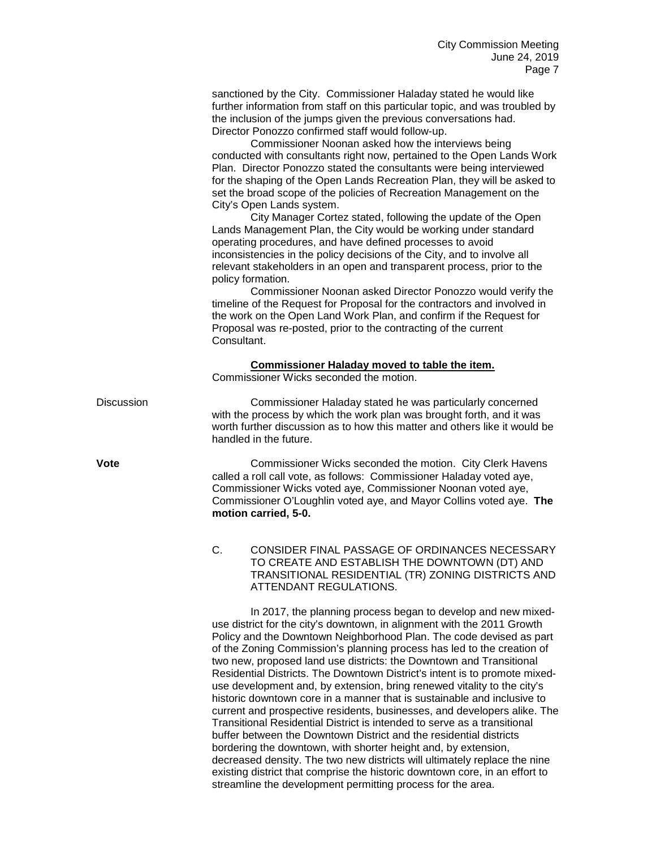sanctioned by the City. Commissioner Haladay stated he would like further information from staff on this particular topic, and was troubled by the inclusion of the jumps given the previous conversations had. Director Ponozzo confirmed staff would follow-up.

Commissioner Noonan asked how the interviews being conducted with consultants right now, pertained to the Open Lands Work Plan. Director Ponozzo stated the consultants were being interviewed for the shaping of the Open Lands Recreation Plan, they will be asked to set the broad scope of the policies of Recreation Management on the City's Open Lands system.

City Manager Cortez stated, following the update of the Open Lands Management Plan, the City would be working under standard operating procedures, and have defined processes to avoid inconsistencies in the policy decisions of the City, and to involve all relevant stakeholders in an open and transparent process, prior to the policy formation.

Commissioner Noonan asked Director Ponozzo would verify the timeline of the Request for Proposal for the contractors and involved in the work on the Open Land Work Plan, and confirm if the Request for Proposal was re-posted, prior to the contracting of the current **Consultant** 

# **Commissioner Haladay moved to table the item.**

Commissioner Wicks seconded the motion.

Discussion Commissioner Haladay stated he was particularly concerned with the process by which the work plan was brought forth, and it was worth further discussion as to how this matter and others like it would be handled in the future.

**Vote** Commissioner Wicks seconded the motion. City Clerk Havens called a roll call vote, as follows: Commissioner Haladay voted aye, Commissioner Wicks voted aye, Commissioner Noonan voted aye, Commissioner O'Loughlin voted aye, and Mayor Collins voted aye. **The motion carried, 5-0.**

> C. CONSIDER FINAL PASSAGE OF ORDINANCES NECESSARY TO CREATE AND ESTABLISH THE DOWNTOWN (DT) AND TRANSITIONAL RESIDENTIAL (TR) ZONING DISTRICTS AND ATTENDANT REGULATIONS.

> In 2017, the planning process began to develop and new mixeduse district for the city's downtown, in alignment with the 2011 Growth Policy and the Downtown Neighborhood Plan. The code devised as part of the Zoning Commission's planning process has led to the creation of two new, proposed land use districts: the Downtown and Transitional Residential Districts. The Downtown District's intent is to promote mixeduse development and, by extension, bring renewed vitality to the city's historic downtown core in a manner that is sustainable and inclusive to current and prospective residents, businesses, and developers alike. The Transitional Residential District is intended to serve as a transitional buffer between the Downtown District and the residential districts bordering the downtown, with shorter height and, by extension, decreased density. The two new districts will ultimately replace the nine existing district that comprise the historic downtown core, in an effort to streamline the development permitting process for the area.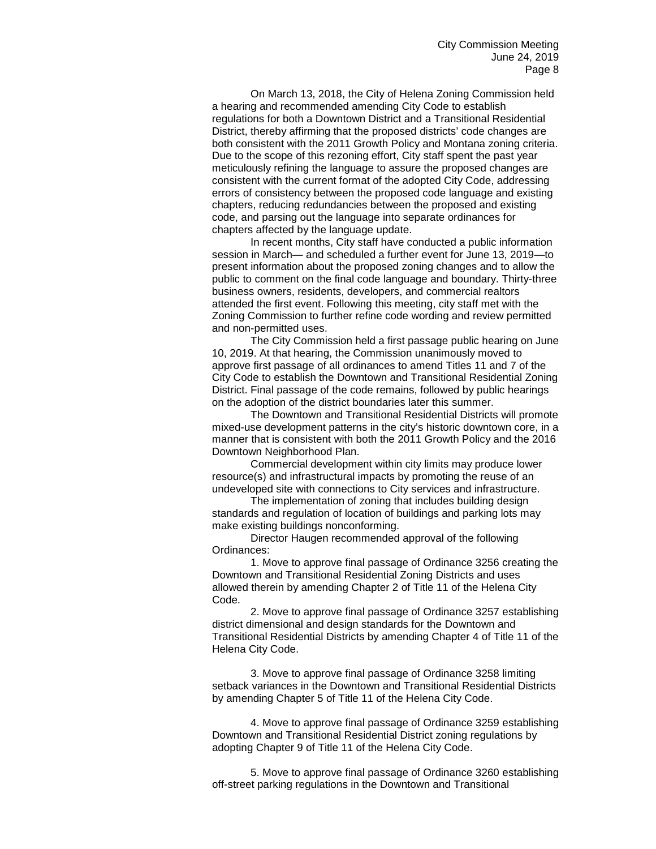On March 13, 2018, the City of Helena Zoning Commission held a hearing and recommended amending City Code to establish regulations for both a Downtown District and a Transitional Residential District, thereby affirming that the proposed districts' code changes are both consistent with the 2011 Growth Policy and Montana zoning criteria. Due to the scope of this rezoning effort, City staff spent the past year meticulously refining the language to assure the proposed changes are consistent with the current format of the adopted City Code, addressing errors of consistency between the proposed code language and existing chapters, reducing redundancies between the proposed and existing code, and parsing out the language into separate ordinances for chapters affected by the language update.

In recent months, City staff have conducted a public information session in March— and scheduled a further event for June 13, 2019—to present information about the proposed zoning changes and to allow the public to comment on the final code language and boundary. Thirty-three business owners, residents, developers, and commercial realtors attended the first event. Following this meeting, city staff met with the Zoning Commission to further refine code wording and review permitted and non-permitted uses.

The City Commission held a first passage public hearing on June 10, 2019. At that hearing, the Commission unanimously moved to approve first passage of all ordinances to amend Titles 11 and 7 of the City Code to establish the Downtown and Transitional Residential Zoning District. Final passage of the code remains, followed by public hearings on the adoption of the district boundaries later this summer.

The Downtown and Transitional Residential Districts will promote mixed-use development patterns in the city's historic downtown core, in a manner that is consistent with both the 2011 Growth Policy and the 2016 Downtown Neighborhood Plan.

Commercial development within city limits may produce lower resource(s) and infrastructural impacts by promoting the reuse of an undeveloped site with connections to City services and infrastructure.

The implementation of zoning that includes building design standards and regulation of location of buildings and parking lots may make existing buildings nonconforming.

Director Haugen recommended approval of the following Ordinances:

1. Move to approve final passage of Ordinance 3256 creating the Downtown and Transitional Residential Zoning Districts and uses allowed therein by amending Chapter 2 of Title 11 of the Helena City Code.

2. Move to approve final passage of Ordinance 3257 establishing district dimensional and design standards for the Downtown and Transitional Residential Districts by amending Chapter 4 of Title 11 of the Helena City Code.

3. Move to approve final passage of Ordinance 3258 limiting setback variances in the Downtown and Transitional Residential Districts by amending Chapter 5 of Title 11 of the Helena City Code.

4. Move to approve final passage of Ordinance 3259 establishing Downtown and Transitional Residential District zoning regulations by adopting Chapter 9 of Title 11 of the Helena City Code.

5. Move to approve final passage of Ordinance 3260 establishing off-street parking regulations in the Downtown and Transitional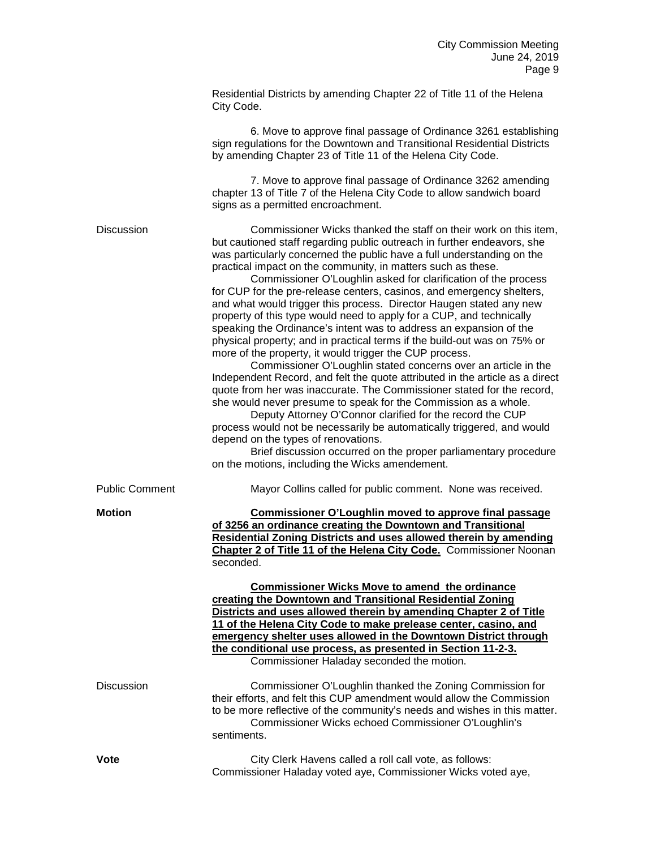|                       | Residential Districts by amending Chapter 22 of Title 11 of the Helena<br>City Code.                                                                                                                                                                                                                                                                                                                                                                                                                                                                                                                                                                                                                                                                                                                                                                                                                                                                                                                                                                                                                                                                                                                                                                                                                                                                                                            |
|-----------------------|-------------------------------------------------------------------------------------------------------------------------------------------------------------------------------------------------------------------------------------------------------------------------------------------------------------------------------------------------------------------------------------------------------------------------------------------------------------------------------------------------------------------------------------------------------------------------------------------------------------------------------------------------------------------------------------------------------------------------------------------------------------------------------------------------------------------------------------------------------------------------------------------------------------------------------------------------------------------------------------------------------------------------------------------------------------------------------------------------------------------------------------------------------------------------------------------------------------------------------------------------------------------------------------------------------------------------------------------------------------------------------------------------|
|                       | 6. Move to approve final passage of Ordinance 3261 establishing<br>sign regulations for the Downtown and Transitional Residential Districts<br>by amending Chapter 23 of Title 11 of the Helena City Code.                                                                                                                                                                                                                                                                                                                                                                                                                                                                                                                                                                                                                                                                                                                                                                                                                                                                                                                                                                                                                                                                                                                                                                                      |
|                       | 7. Move to approve final passage of Ordinance 3262 amending<br>chapter 13 of Title 7 of the Helena City Code to allow sandwich board<br>signs as a permitted encroachment.                                                                                                                                                                                                                                                                                                                                                                                                                                                                                                                                                                                                                                                                                                                                                                                                                                                                                                                                                                                                                                                                                                                                                                                                                      |
| <b>Discussion</b>     | Commissioner Wicks thanked the staff on their work on this item,<br>but cautioned staff regarding public outreach in further endeavors, she<br>was particularly concerned the public have a full understanding on the<br>practical impact on the community, in matters such as these.<br>Commissioner O'Loughlin asked for clarification of the process<br>for CUP for the pre-release centers, casinos, and emergency shelters,<br>and what would trigger this process. Director Haugen stated any new<br>property of this type would need to apply for a CUP, and technically<br>speaking the Ordinance's intent was to address an expansion of the<br>physical property; and in practical terms if the build-out was on 75% or<br>more of the property, it would trigger the CUP process.<br>Commissioner O'Loughlin stated concerns over an article in the<br>Independent Record, and felt the quote attributed in the article as a direct<br>quote from her was inaccurate. The Commissioner stated for the record,<br>she would never presume to speak for the Commission as a whole.<br>Deputy Attorney O'Connor clarified for the record the CUP<br>process would not be necessarily be automatically triggered, and would<br>depend on the types of renovations.<br>Brief discussion occurred on the proper parliamentary procedure<br>on the motions, including the Wicks amendement. |
| <b>Public Comment</b> | Mayor Collins called for public comment. None was received.                                                                                                                                                                                                                                                                                                                                                                                                                                                                                                                                                                                                                                                                                                                                                                                                                                                                                                                                                                                                                                                                                                                                                                                                                                                                                                                                     |
| <b>Motion</b>         | <b>Commissioner O'Loughlin moved to approve final passage</b><br>of 3256 an ordinance creating the Downtown and Transitional<br><b>Residential Zoning Districts and uses allowed therein by amending</b><br>Chapter 2 of Title 11 of the Helena City Code. Commissioner Noonan<br>seconded.                                                                                                                                                                                                                                                                                                                                                                                                                                                                                                                                                                                                                                                                                                                                                                                                                                                                                                                                                                                                                                                                                                     |
|                       | <b>Commissioner Wicks Move to amend the ordinance</b><br>creating the Downtown and Transitional Residential Zoning<br>Districts and uses allowed therein by amending Chapter 2 of Title<br>11 of the Helena City Code to make prelease center, casino, and<br>emergency shelter uses allowed in the Downtown District through<br>the conditional use process, as presented in Section 11-2-3.<br>Commissioner Haladay seconded the motion.                                                                                                                                                                                                                                                                                                                                                                                                                                                                                                                                                                                                                                                                                                                                                                                                                                                                                                                                                      |
| <b>Discussion</b>     | Commissioner O'Loughlin thanked the Zoning Commission for<br>their efforts, and felt this CUP amendment would allow the Commission<br>to be more reflective of the community's needs and wishes in this matter.<br>Commissioner Wicks echoed Commissioner O'Loughlin's<br>sentiments.                                                                                                                                                                                                                                                                                                                                                                                                                                                                                                                                                                                                                                                                                                                                                                                                                                                                                                                                                                                                                                                                                                           |
| Vote                  | City Clerk Havens called a roll call vote, as follows:<br>Commissioner Haladay voted aye, Commissioner Wicks voted aye,                                                                                                                                                                                                                                                                                                                                                                                                                                                                                                                                                                                                                                                                                                                                                                                                                                                                                                                                                                                                                                                                                                                                                                                                                                                                         |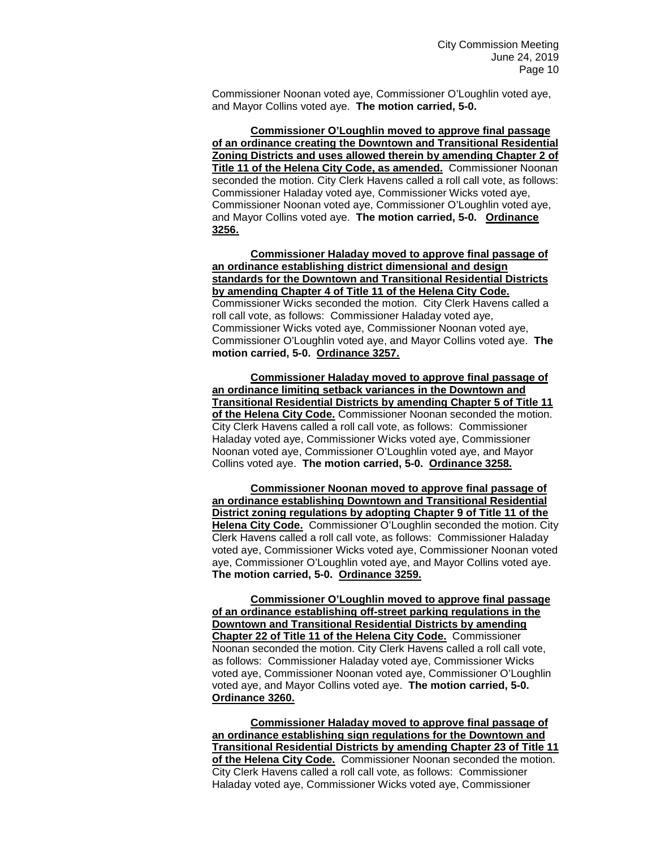Commissioner Noonan voted aye, Commissioner O'Loughlin voted aye, and Mayor Collins voted aye. **The motion carried, 5-0.** 

**Commissioner O'Loughlin moved to approve final passage of an ordinance creating the Downtown and Transitional Residential Zoning Districts and uses allowed therein by amending Chapter 2 of Title 11 of the Helena City Code, as amended.** Commissioner Noonan seconded the motion. City Clerk Havens called a roll call vote, as follows: Commissioner Haladay voted aye, Commissioner Wicks voted aye, Commissioner Noonan voted aye, Commissioner O'Loughlin voted aye, and Mayor Collins voted aye. **The motion carried, 5-0. Ordinance 3256.**

**Commissioner Haladay moved to approve final passage of an ordinance establishing district dimensional and design standards for the Downtown and Transitional Residential Districts by amending Chapter 4 of Title 11 of the Helena City Code.**  Commissioner Wicks seconded the motion. City Clerk Havens called a roll call vote, as follows: Commissioner Haladay voted aye, Commissioner Wicks voted aye, Commissioner Noonan voted aye, Commissioner O'Loughlin voted aye, and Mayor Collins voted aye. **The motion carried, 5-0. Ordinance 3257.**

**Commissioner Haladay moved to approve final passage of an ordinance limiting setback variances in the Downtown and Transitional Residential Districts by amending Chapter 5 of Title 11 of the Helena City Code.** Commissioner Noonan seconded the motion. City Clerk Havens called a roll call vote, as follows: Commissioner Haladay voted aye, Commissioner Wicks voted aye, Commissioner Noonan voted aye, Commissioner O'Loughlin voted aye, and Mayor Collins voted aye. **The motion carried, 5-0. Ordinance 3258.** 

**Commissioner Noonan moved to approve final passage of an ordinance establishing Downtown and Transitional Residential District zoning regulations by adopting Chapter 9 of Title 11 of the Helena City Code.** Commissioner O'Loughlin seconded the motion. City Clerk Havens called a roll call vote, as follows: Commissioner Haladay voted aye, Commissioner Wicks voted aye, Commissioner Noonan voted aye, Commissioner O'Loughlin voted aye, and Mayor Collins voted aye. **The motion carried, 5-0. Ordinance 3259.** 

**Commissioner O'Loughlin moved to approve final passage of an ordinance establishing off-street parking regulations in the Downtown and Transitional Residential Districts by amending Chapter 22 of Title 11 of the Helena City Code.** Commissioner Noonan seconded the motion. City Clerk Havens called a roll call vote, as follows: Commissioner Haladay voted aye, Commissioner Wicks voted aye, Commissioner Noonan voted aye, Commissioner O'Loughlin voted aye, and Mayor Collins voted aye. **The motion carried, 5-0. Ordinance 3260.**

**Commissioner Haladay moved to approve final passage of an ordinance establishing sign regulations for the Downtown and Transitional Residential Districts by amending Chapter 23 of Title 11 of the Helena City Code.** Commissioner Noonan seconded the motion. City Clerk Havens called a roll call vote, as follows: Commissioner Haladay voted aye, Commissioner Wicks voted aye, Commissioner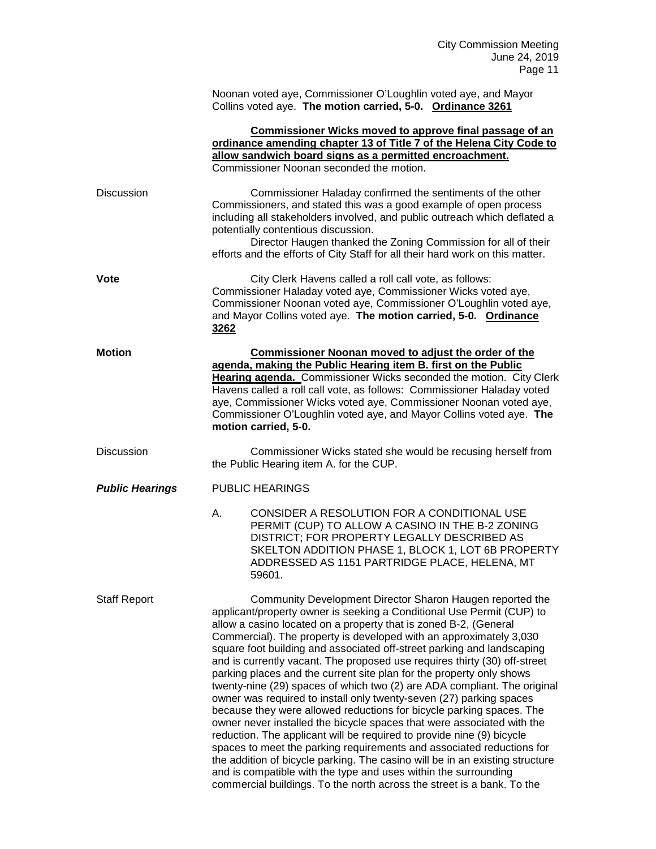| Noonan voted aye, Commissioner O'Loughlin voted aye, and Mayor |  |
|----------------------------------------------------------------|--|
| Collins voted aye. The motion carried, 5-0. Ordinance 3261     |  |

|                        | Commissioner Wicks moved to approve final passage of an<br>ordinance amending chapter 13 of Title 7 of the Helena City Code to<br>allow sandwich board signs as a permitted encroachment.<br>Commissioner Noonan seconded the motion.                                                                                                                                                                                                                                                                                                                                                                                                                                                                                                                                                                                                                                                                                                                                                                                                                                                                                 |  |
|------------------------|-----------------------------------------------------------------------------------------------------------------------------------------------------------------------------------------------------------------------------------------------------------------------------------------------------------------------------------------------------------------------------------------------------------------------------------------------------------------------------------------------------------------------------------------------------------------------------------------------------------------------------------------------------------------------------------------------------------------------------------------------------------------------------------------------------------------------------------------------------------------------------------------------------------------------------------------------------------------------------------------------------------------------------------------------------------------------------------------------------------------------|--|
| <b>Discussion</b>      | Commissioner Haladay confirmed the sentiments of the other<br>Commissioners, and stated this was a good example of open process<br>including all stakeholders involved, and public outreach which deflated a<br>potentially contentious discussion.<br>Director Haugen thanked the Zoning Commission for all of their<br>efforts and the efforts of City Staff for all their hard work on this matter.                                                                                                                                                                                                                                                                                                                                                                                                                                                                                                                                                                                                                                                                                                                |  |
| Vote                   | City Clerk Havens called a roll call vote, as follows:<br>Commissioner Haladay voted aye, Commissioner Wicks voted aye,<br>Commissioner Noonan voted aye, Commissioner O'Loughlin voted aye,<br>and Mayor Collins voted aye. The motion carried, 5-0. Ordinance<br>3262                                                                                                                                                                                                                                                                                                                                                                                                                                                                                                                                                                                                                                                                                                                                                                                                                                               |  |
| <b>Motion</b>          | Commissioner Noonan moved to adjust the order of the<br>agenda, making the Public Hearing item B. first on the Public<br>Hearing agenda. Commissioner Wicks seconded the motion. City Clerk<br>Havens called a roll call vote, as follows: Commissioner Haladay voted<br>aye, Commissioner Wicks voted aye, Commissioner Noonan voted aye,<br>Commissioner O'Loughlin voted aye, and Mayor Collins voted aye. The<br>motion carried, 5-0.                                                                                                                                                                                                                                                                                                                                                                                                                                                                                                                                                                                                                                                                             |  |
| <b>Discussion</b>      | Commissioner Wicks stated she would be recusing herself from<br>the Public Hearing item A. for the CUP.                                                                                                                                                                                                                                                                                                                                                                                                                                                                                                                                                                                                                                                                                                                                                                                                                                                                                                                                                                                                               |  |
| <b>Public Hearings</b> | <b>PUBLIC HEARINGS</b>                                                                                                                                                                                                                                                                                                                                                                                                                                                                                                                                                                                                                                                                                                                                                                                                                                                                                                                                                                                                                                                                                                |  |
|                        | CONSIDER A RESOLUTION FOR A CONDITIONAL USE<br>А.<br>PERMIT (CUP) TO ALLOW A CASINO IN THE B-2 ZONING<br>DISTRICT; FOR PROPERTY LEGALLY DESCRIBED AS<br>SKELTON ADDITION PHASE 1, BLOCK 1, LOT 6B PROPERTY<br>ADDRESSED AS 1151 PARTRIDGE PLACE, HELENA, MT<br>59601.                                                                                                                                                                                                                                                                                                                                                                                                                                                                                                                                                                                                                                                                                                                                                                                                                                                 |  |
| <b>Staff Report</b>    | Community Development Director Sharon Haugen reported the<br>applicant/property owner is seeking a Conditional Use Permit (CUP) to<br>allow a casino located on a property that is zoned B-2, (General<br>Commercial). The property is developed with an approximately 3,030<br>square foot building and associated off-street parking and landscaping<br>and is currently vacant. The proposed use requires thirty (30) off-street<br>parking places and the current site plan for the property only shows<br>twenty-nine (29) spaces of which two (2) are ADA compliant. The original<br>owner was required to install only twenty-seven (27) parking spaces<br>because they were allowed reductions for bicycle parking spaces. The<br>owner never installed the bicycle spaces that were associated with the<br>reduction. The applicant will be required to provide nine (9) bicycle<br>spaces to meet the parking requirements and associated reductions for<br>the addition of bicycle parking. The casino will be in an existing structure<br>and is compatible with the type and uses within the surrounding |  |

commercial buildings. To the north across the street is a bank. To the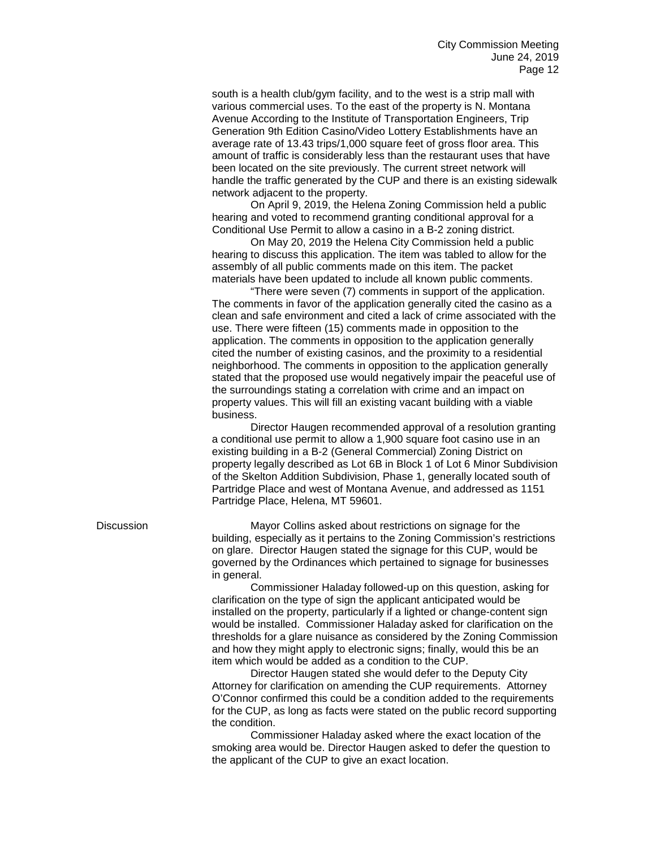south is a health club/gym facility, and to the west is a strip mall with various commercial uses. To the east of the property is N. Montana Avenue According to the Institute of Transportation Engineers, Trip Generation 9th Edition Casino/Video Lottery Establishments have an average rate of 13.43 trips/1,000 square feet of gross floor area. This amount of traffic is considerably less than the restaurant uses that have been located on the site previously. The current street network will handle the traffic generated by the CUP and there is an existing sidewalk network adjacent to the property.

On April 9, 2019, the Helena Zoning Commission held a public hearing and voted to recommend granting conditional approval for a Conditional Use Permit to allow a casino in a B-2 zoning district.

On May 20, 2019 the Helena City Commission held a public hearing to discuss this application. The item was tabled to allow for the assembly of all public comments made on this item. The packet materials have been updated to include all known public comments.

"There were seven (7) comments in support of the application. The comments in favor of the application generally cited the casino as a clean and safe environment and cited a lack of crime associated with the use. There were fifteen (15) comments made in opposition to the application. The comments in opposition to the application generally cited the number of existing casinos, and the proximity to a residential neighborhood. The comments in opposition to the application generally stated that the proposed use would negatively impair the peaceful use of the surroundings stating a correlation with crime and an impact on property values. This will fill an existing vacant building with a viable business.

Director Haugen recommended approval of a resolution granting a conditional use permit to allow a 1,900 square foot casino use in an existing building in a B-2 (General Commercial) Zoning District on property legally described as Lot 6B in Block 1 of Lot 6 Minor Subdivision of the Skelton Addition Subdivision, Phase 1, generally located south of Partridge Place and west of Montana Avenue, and addressed as 1151 Partridge Place, Helena, MT 59601.

Discussion Mayor Collins asked about restrictions on signage for the building, especially as it pertains to the Zoning Commission's restrictions on glare. Director Haugen stated the signage for this CUP, would be governed by the Ordinances which pertained to signage for businesses in general.

> Commissioner Haladay followed-up on this question, asking for clarification on the type of sign the applicant anticipated would be installed on the property, particularly if a lighted or change-content sign would be installed. Commissioner Haladay asked for clarification on the thresholds for a glare nuisance as considered by the Zoning Commission and how they might apply to electronic signs; finally, would this be an item which would be added as a condition to the CUP.

> Director Haugen stated she would defer to the Deputy City Attorney for clarification on amending the CUP requirements. Attorney O'Connor confirmed this could be a condition added to the requirements for the CUP, as long as facts were stated on the public record supporting the condition.

Commissioner Haladay asked where the exact location of the smoking area would be. Director Haugen asked to defer the question to the applicant of the CUP to give an exact location.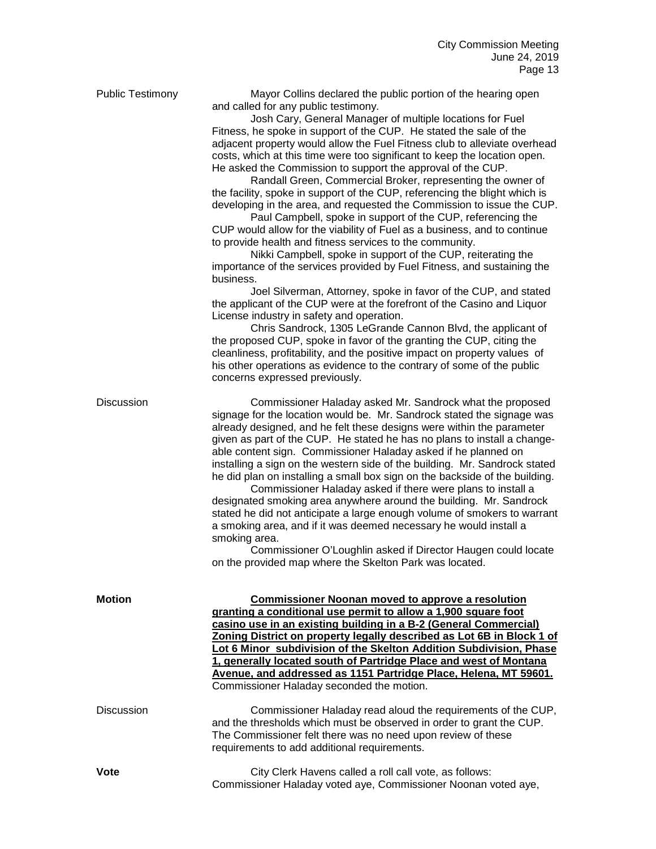| <b>Public Testimony</b> | Mayor Collins declared the public portion of the hearing open<br>and called for any public testimony.<br>Josh Cary, General Manager of multiple locations for Fuel<br>Fitness, he spoke in support of the CUP. He stated the sale of the<br>adjacent property would allow the Fuel Fitness club to alleviate overhead<br>costs, which at this time were too significant to keep the location open.<br>He asked the Commission to support the approval of the CUP.<br>Randall Green, Commercial Broker, representing the owner of<br>the facility, spoke in support of the CUP, referencing the blight which is<br>developing in the area, and requested the Commission to issue the CUP.<br>Paul Campbell, spoke in support of the CUP, referencing the<br>CUP would allow for the viability of Fuel as a business, and to continue<br>to provide health and fitness services to the community.<br>Nikki Campbell, spoke in support of the CUP, reiterating the<br>importance of the services provided by Fuel Fitness, and sustaining the<br>business.<br>Joel Silverman, Attorney, spoke in favor of the CUP, and stated<br>the applicant of the CUP were at the forefront of the Casino and Liquor<br>License industry in safety and operation.<br>Chris Sandrock, 1305 LeGrande Cannon Blvd, the applicant of<br>the proposed CUP, spoke in favor of the granting the CUP, citing the<br>cleanliness, profitability, and the positive impact on property values of<br>his other operations as evidence to the contrary of some of the public<br>concerns expressed previously. |
|-------------------------|------------------------------------------------------------------------------------------------------------------------------------------------------------------------------------------------------------------------------------------------------------------------------------------------------------------------------------------------------------------------------------------------------------------------------------------------------------------------------------------------------------------------------------------------------------------------------------------------------------------------------------------------------------------------------------------------------------------------------------------------------------------------------------------------------------------------------------------------------------------------------------------------------------------------------------------------------------------------------------------------------------------------------------------------------------------------------------------------------------------------------------------------------------------------------------------------------------------------------------------------------------------------------------------------------------------------------------------------------------------------------------------------------------------------------------------------------------------------------------------------------------------------------------------------------------------------------------|
| Discussion              | Commissioner Haladay asked Mr. Sandrock what the proposed<br>signage for the location would be. Mr. Sandrock stated the signage was<br>already designed, and he felt these designs were within the parameter<br>given as part of the CUP. He stated he has no plans to install a change-<br>able content sign. Commissioner Haladay asked if he planned on<br>installing a sign on the western side of the building. Mr. Sandrock stated<br>he did plan on installing a small box sign on the backside of the building.<br>Commissioner Haladay asked if there were plans to install a<br>designated smoking area anywhere around the building. Mr. Sandrock<br>stated he did not anticipate a large enough volume of smokers to warrant<br>a smoking area, and if it was deemed necessary he would install a<br>smoking area.<br>Commissioner O'Loughlin asked if Director Haugen could locate<br>on the provided map where the Skelton Park was located.                                                                                                                                                                                                                                                                                                                                                                                                                                                                                                                                                                                                                         |
| <b>Motion</b>           | <b>Commissioner Noonan moved to approve a resolution</b><br>granting a conditional use permit to allow a 1,900 square foot<br>casino use in an existing building in a B-2 (General Commercial)<br>Zoning District on property legally described as Lot 6B in Block 1 of<br>Lot 6 Minor_subdivision of the Skelton Addition Subdivision, Phase<br>1, generally located south of Partridge Place and west of Montana<br>Avenue, and addressed as 1151 Partridge Place, Helena, MT 59601.<br>Commissioner Haladay seconded the motion.                                                                                                                                                                                                                                                                                                                                                                                                                                                                                                                                                                                                                                                                                                                                                                                                                                                                                                                                                                                                                                                |
| <b>Discussion</b>       | Commissioner Haladay read aloud the requirements of the CUP,<br>and the thresholds which must be observed in order to grant the CUP.<br>The Commissioner felt there was no need upon review of these<br>requirements to add additional requirements.                                                                                                                                                                                                                                                                                                                                                                                                                                                                                                                                                                                                                                                                                                                                                                                                                                                                                                                                                                                                                                                                                                                                                                                                                                                                                                                               |
| <b>Vote</b>             | City Clerk Havens called a roll call vote, as follows:                                                                                                                                                                                                                                                                                                                                                                                                                                                                                                                                                                                                                                                                                                                                                                                                                                                                                                                                                                                                                                                                                                                                                                                                                                                                                                                                                                                                                                                                                                                             |

Commissioner Haladay voted aye, Commissioner Noonan voted aye,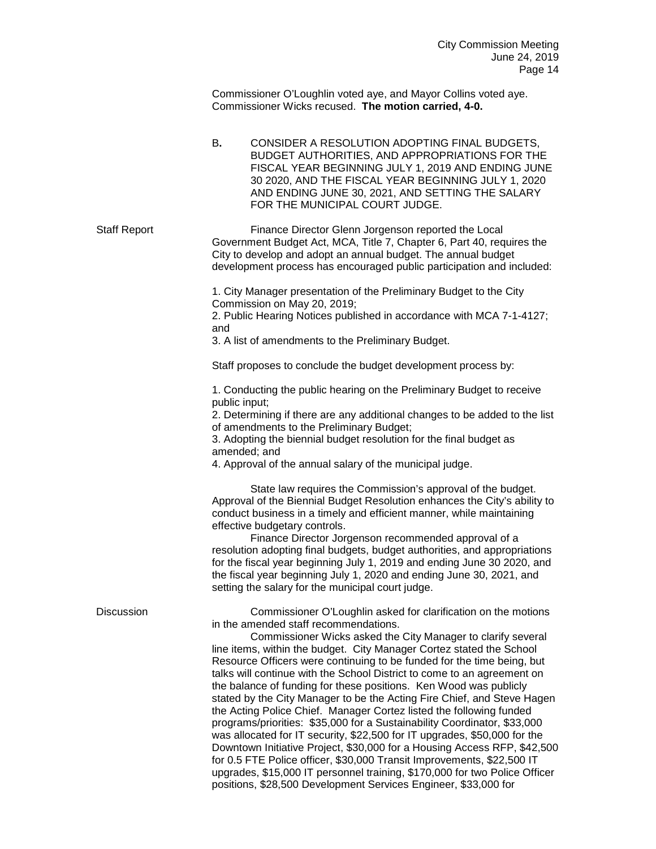Commissioner O'Loughlin voted aye, and Mayor Collins voted aye. Commissioner Wicks recused. **The motion carried, 4-0.**

B**.** CONSIDER A RESOLUTION ADOPTING FINAL BUDGETS, BUDGET AUTHORITIES, AND APPROPRIATIONS FOR THE FISCAL YEAR BEGINNING JULY 1, 2019 AND ENDING JUNE 30 2020, AND THE FISCAL YEAR BEGINNING JULY 1, 2020 AND ENDING JUNE 30, 2021, AND SETTING THE SALARY FOR THE MUNICIPAL COURT JUDGE.

Staff Report **Finance Director Glenn Jorgenson reported the Local** Government Budget Act, MCA, Title 7, Chapter 6, Part 40, requires the City to develop and adopt an annual budget. The annual budget development process has encouraged public participation and included:

> 1. City Manager presentation of the Preliminary Budget to the City Commission on May 20, 2019;

2. Public Hearing Notices published in accordance with MCA 7-1-4127; and

3. A list of amendments to the Preliminary Budget.

Staff proposes to conclude the budget development process by:

1. Conducting the public hearing on the Preliminary Budget to receive public input;

2. Determining if there are any additional changes to be added to the list of amendments to the Preliminary Budget;

3. Adopting the biennial budget resolution for the final budget as amended; and

4. Approval of the annual salary of the municipal judge.

State law requires the Commission's approval of the budget. Approval of the Biennial Budget Resolution enhances the City's ability to conduct business in a timely and efficient manner, while maintaining effective budgetary controls.

Finance Director Jorgenson recommended approval of a resolution adopting final budgets, budget authorities, and appropriations for the fiscal year beginning July 1, 2019 and ending June 30 2020, and the fiscal year beginning July 1, 2020 and ending June 30, 2021, and setting the salary for the municipal court judge.

upgrades, \$15,000 IT personnel training, \$170,000 for two Police Officer

positions, \$28,500 Development Services Engineer, \$33,000 for

| <b>Discussion</b> | Commissioner O'Loughlin asked for clarification on the motions<br>in the amended staff recommendations.<br>Commissioner Wicks asked the City Manager to clarify several<br>line items, within the budget. City Manager Cortez stated the School<br>Resource Officers were continuing to be funded for the time being, but<br>talks will continue with the School District to come to an agreement on<br>the balance of funding for these positions. Ken Wood was publicly<br>stated by the City Manager to be the Acting Fire Chief, and Steve Hagen<br>the Acting Police Chief. Manager Cortez listed the following funded<br>programs/priorities: \$35,000 for a Sustainability Coordinator, \$33,000<br>was allocated for IT security, \$22,500 for IT upgrades, \$50,000 for the |
|-------------------|--------------------------------------------------------------------------------------------------------------------------------------------------------------------------------------------------------------------------------------------------------------------------------------------------------------------------------------------------------------------------------------------------------------------------------------------------------------------------------------------------------------------------------------------------------------------------------------------------------------------------------------------------------------------------------------------------------------------------------------------------------------------------------------|
|                   | Downtown Initiative Project, \$30,000 for a Housing Access RFP, \$42,500<br>for 0.5 FTE Police officer, \$30,000 Transit Improvements, \$22,500 IT                                                                                                                                                                                                                                                                                                                                                                                                                                                                                                                                                                                                                                   |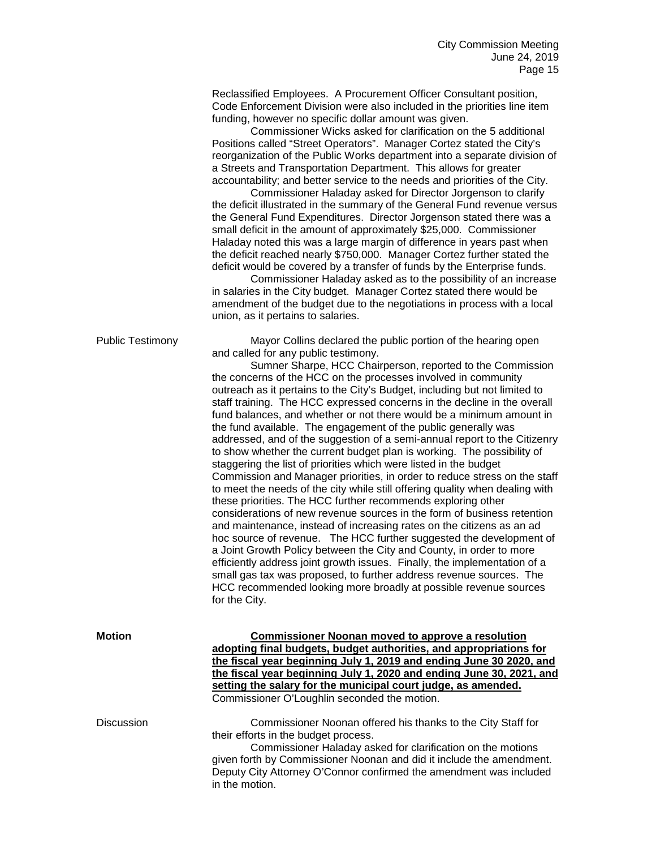Reclassified Employees. A Procurement Officer Consultant position, Code Enforcement Division were also included in the priorities line item funding, however no specific dollar amount was given.

Commissioner Wicks asked for clarification on the 5 additional Positions called "Street Operators". Manager Cortez stated the City's reorganization of the Public Works department into a separate division of a Streets and Transportation Department. This allows for greater accountability; and better service to the needs and priorities of the City.

Commissioner Haladay asked for Director Jorgenson to clarify the deficit illustrated in the summary of the General Fund revenue versus the General Fund Expenditures. Director Jorgenson stated there was a small deficit in the amount of approximately \$25,000. Commissioner Haladay noted this was a large margin of difference in years past when the deficit reached nearly \$750,000. Manager Cortez further stated the deficit would be covered by a transfer of funds by the Enterprise funds.

Commissioner Haladay asked as to the possibility of an increase in salaries in the City budget. Manager Cortez stated there would be amendment of the budget due to the negotiations in process with a local union, as it pertains to salaries.

Public Testimony Mayor Collins declared the public portion of the hearing open and called for any public testimony.

Sumner Sharpe, HCC Chairperson, reported to the Commission the concerns of the HCC on the processes involved in community outreach as it pertains to the City's Budget, including but not limited to staff training. The HCC expressed concerns in the decline in the overall fund balances, and whether or not there would be a minimum amount in the fund available. The engagement of the public generally was addressed, and of the suggestion of a semi-annual report to the Citizenry to show whether the current budget plan is working. The possibility of staggering the list of priorities which were listed in the budget Commission and Manager priorities, in order to reduce stress on the staff to meet the needs of the city while still offering quality when dealing with these priorities. The HCC further recommends exploring other considerations of new revenue sources in the form of business retention and maintenance, instead of increasing rates on the citizens as an ad hoc source of revenue. The HCC further suggested the development of a Joint Growth Policy between the City and County, in order to more efficiently address joint growth issues. Finally, the implementation of a small gas tax was proposed, to further address revenue sources. The HCC recommended looking more broadly at possible revenue sources for the City.

| <b>Motion</b>     | <b>Commissioner Noonan moved to approve a resolution</b><br>adopting final budgets, budget authorities, and appropriations for<br>the fiscal year beginning July 1, 2019 and ending June 30 2020, and<br>the fiscal year beginning July 1, 2020 and ending June 30, 2021, and<br>setting the salary for the municipal court judge, as amended.<br>Commissioner O'Loughlin seconded the motion. |
|-------------------|------------------------------------------------------------------------------------------------------------------------------------------------------------------------------------------------------------------------------------------------------------------------------------------------------------------------------------------------------------------------------------------------|
| <b>Discussion</b> | Commissioner Noonan offered his thanks to the City Staff for<br>their efforts in the budget process.<br>Commissioner Haladay asked for clarification on the motions<br>given forth by Commissioner Noonan and did it include the amendment.<br>Deputy City Attorney O'Connor confirmed the amendment was included<br>in the motion.                                                            |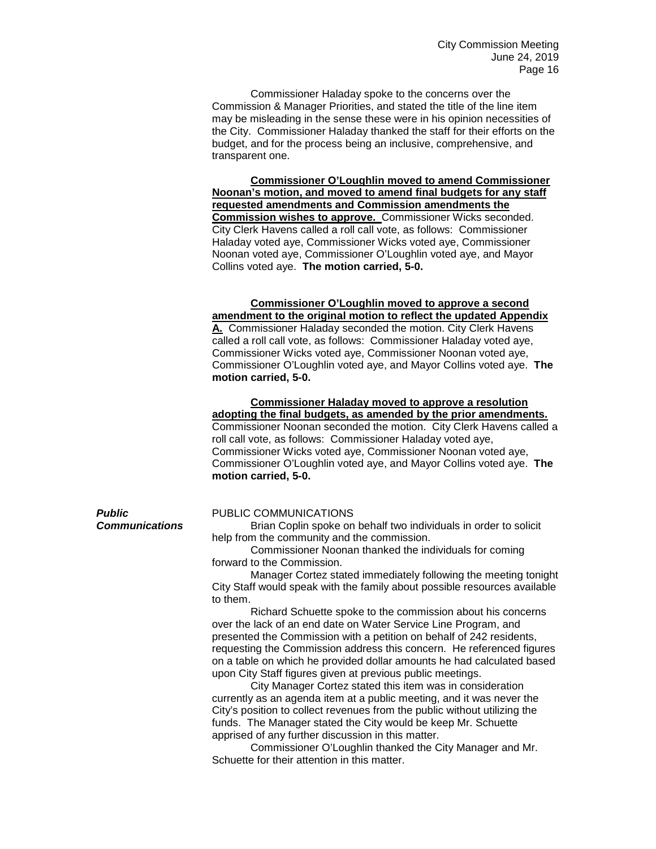Commissioner Haladay spoke to the concerns over the Commission & Manager Priorities, and stated the title of the line item may be misleading in the sense these were in his opinion necessities of the City. Commissioner Haladay thanked the staff for their efforts on the budget, and for the process being an inclusive, comprehensive, and transparent one.

**Commissioner O'Loughlin moved to amend Commissioner Noonan's motion, and moved to amend final budgets for any staff requested amendments and Commission amendments the Commission wishes to approve.** Commissioner Wicks seconded. City Clerk Havens called a roll call vote, as follows: Commissioner Haladay voted aye, Commissioner Wicks voted aye, Commissioner Noonan voted aye, Commissioner O'Loughlin voted aye, and Mayor Collins voted aye. **The motion carried, 5-0.**

# **Commissioner O'Loughlin moved to approve a second amendment to the original motion to reflect the updated Appendix**

**A.** Commissioner Haladay seconded the motion. City Clerk Havens called a roll call vote, as follows: Commissioner Haladay voted aye, Commissioner Wicks voted aye, Commissioner Noonan voted aye, Commissioner O'Loughlin voted aye, and Mayor Collins voted aye. **The motion carried, 5-0.**

# **Commissioner Haladay moved to approve a resolution adopting the final budgets, as amended by the prior amendments.**

Commissioner Noonan seconded the motion. City Clerk Havens called a roll call vote, as follows: Commissioner Haladay voted aye, Commissioner Wicks voted aye, Commissioner Noonan voted aye, Commissioner O'Loughlin voted aye, and Mayor Collins voted aye. **The motion carried, 5-0.**

# **Public PUBLIC COMMUNICATIONS**<br>**Communications** Brian Coplin spoke on

**Brian Coplin spoke on behalf two individuals in order to solicit** help from the community and the commission.

Commissioner Noonan thanked the individuals for coming forward to the Commission.

Manager Cortez stated immediately following the meeting tonight City Staff would speak with the family about possible resources available to them.

Richard Schuette spoke to the commission about his concerns over the lack of an end date on Water Service Line Program, and presented the Commission with a petition on behalf of 242 residents, requesting the Commission address this concern. He referenced figures on a table on which he provided dollar amounts he had calculated based upon City Staff figures given at previous public meetings.

City Manager Cortez stated this item was in consideration currently as an agenda item at a public meeting, and it was never the City's position to collect revenues from the public without utilizing the funds. The Manager stated the City would be keep Mr. Schuette apprised of any further discussion in this matter.

Commissioner O'Loughlin thanked the City Manager and Mr. Schuette for their attention in this matter.